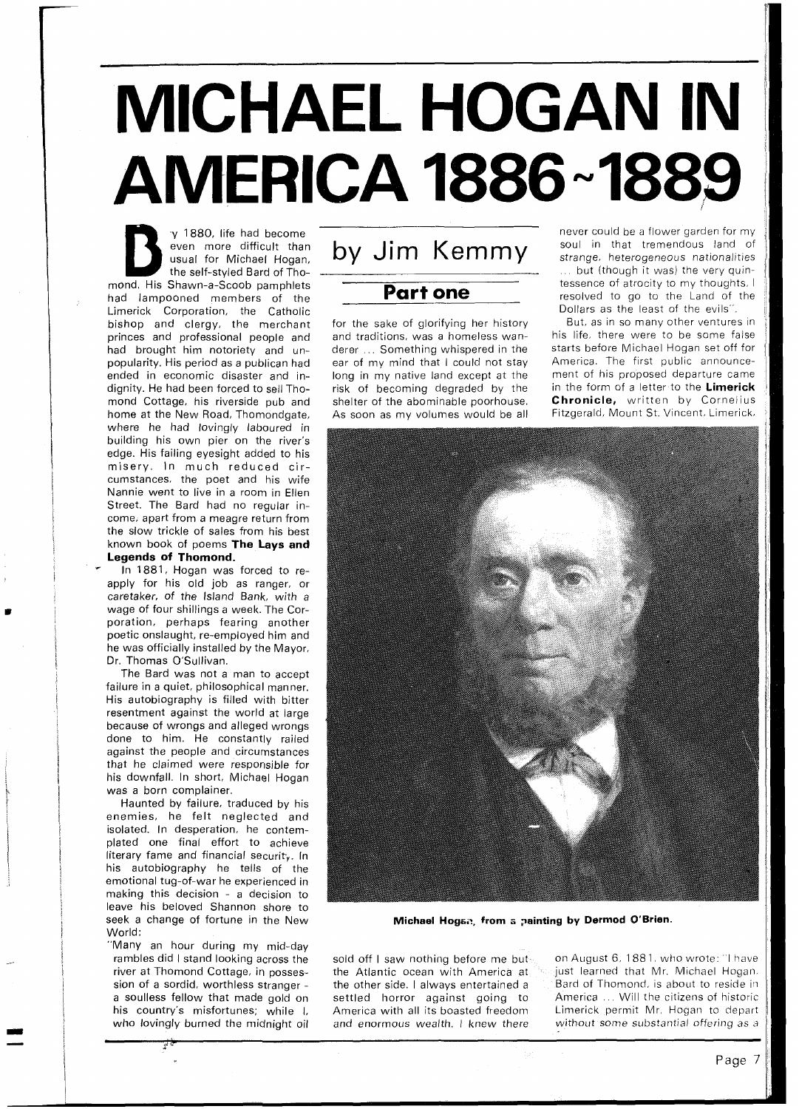## **MICHAEL HOGAN IN AMERICA 1886~1889**

**P 1880, life had become**<br>
even more difficult than<br>
usual for Michael Hogan,<br>
the self-styled Bard of Tho-<br>
nd. His Shawn-a-Scoob pamphlets even more difficult than usual for Michael Hogan, the self-styled Bard of Thomond. His Shawn-a-Scoob pamphlets had lampooned members of the Limerick Corporation, the Catholic bishop and clergy, the merchant princes and professional people and had brought him notoriety and unpopularity. His period as a publican had ended in economic disaster and indignity. He had been forced to sell Thomond Cottage, his riverside pub and home at the New Road, Thomondgate, where he had lovingly laboured in building his own pier on the river's edge. His failing eyesight added to his misery. In much reduced circumstances, the poet and his wife Nannie went to live in a room in Ellen Street. The Bard had no regular income, apart from a meagre return from the slow trickle of sales from his best known book of poems **The Lays and Legends of Thomond.** 

In 1881, Hogan was forced to reapply for his old job as ranger, or caretaker, of the Island Bank, with a wage of four shillings a week. The Corporation, perhaps fearing another poetic onslaught, re-employed him and he was officially installed by the Mayor, Dr. Thomas O'Sullivan.

The Bard was not a man to accept failure in a quiet, philosophical manner. His autobiography is filled with bitter resentment against the world at large because of wrongs and alleged wrongs done to him. He constantly railed against the people and circumstances that he claimed were responsible for his downfall. In short, Michael Hogan was a born complainer.

Haunted by failure, traduced by his enemies, he felt neglected and isolated. In desperation, he contemplated one final effort to achieve literary fame and financial security. In his autobiography he tells of the emotional tug-of-war he experienced in making this decision - a decision to leave his beloved Shannon shore to seek a change of fortune in the New World:

"Many an hour during my mid-day rambles did I stand looking across the river at Thomond Cottage, in possession of a sordid, worthless stranger a soulless fellow that made gold on his country's misfortunes; while I, who lovingly burned the midnight oil by Jim Kemmy

**Part one** 

for the sake of glorifying her history and traditions, was a homeless wanderer ... Something whispered in the ear of my mind that I could not stay long in my native land except at the risk of becoming degraded by the shelter of the abominable poorhouse. As soon as my volumes would be all

never could be a flower garden for my soul in that tremendous land of strange, heterogeneous nationalities ... but (though it was) the very quintessence of atrocity to my thoughts. I resolved to go to the Land of the Dollars as the least of the evils".

But, as in so many other ventures in his life, there were to be some false starts before Michael Hogan set off for America. The first public announcement of his proposed departure came in the form of a letter to the **Limerick Chronicle,** written by Cornelius Fitzgerald, Mount St. Vincent. Limerick,



**Michael Hogsz, from a painting by Dermod O'Brien.** 

sold off I saw nothing before me but on August 6, 1881, who wrote: Thave the Atlantic ocean with America at salignate learned that Mr. Michael Hogan. the Atlantic ocean with America at

the other side. I always entertained a  $B^2$  Bard of Thomond, is about to reside in settled horror against going to America Will the citizens of historic<br>America with all its boasted freedom Limerick permit Mr. Hogan to depart Limerick permit Mr. Hogan to depart and enormous wealth. I knew there without some substantial offering as a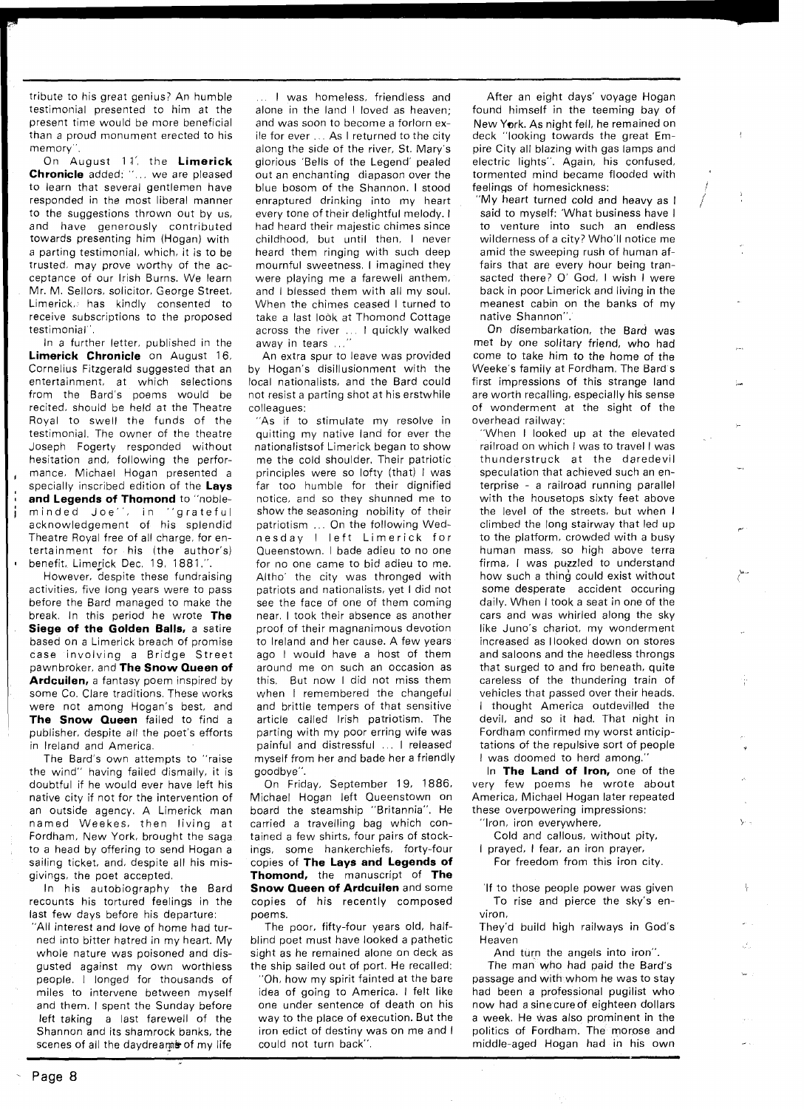tribute to his great genius? An humble testimonial presented to him at the present time would be more beneficial than a proud monument erected to his memory".

On August 1 **A',** the **Limerick Chronicle** added: "... we are pleased to learn that several gentlemen have responded in the most liberal manner to the suggestions thrown out by us, and have generously contributed towards presenting him (Hogan) with a parting testimonial, which, it is to be trusted, may prove worthy of the acceptance of our lrish Burns. We learn Mr. M. Sellors, solicitor, George Street, Limerick, has kindly consented to receive subscriptions to the proposed testimonial".

In a further letter, published in the **Limerick Chronicle** on August 16, Cornelius Fitzgerald suggested that an entertainment, at which selections from the Bard's poems would be recited, should be held at the Theatre Royal to swell the funds of the testimonial. The owner of the theatre Joseph Fogerty responded without hesitation and, following the performance. Michael Hogan presented a specially inscribed edition of the **Lays and Legends of Thomond** to "nobleminded Joe", in "grateful acknowledgement of his splendid Theatre Royal free of all charge, for entertainment for his (the author's) benefit, Limerick Dec. 19, 1881.".

However, despite these fundraising activities, five long years were to pass before the Bard managed to make the break. In this period he wrote **The Siege of the Golden Balls, a satire** based on a Limerick breach of promise case involving a Bridge Street pawnbroker, and **The Snow Queen of Ardcuilen,** a fantasy poem inspired by some Co. Clare traditions. These works were not among Hogan's best, and **The Snow Queen** failed to find a publisher, despite all the poet's efforts in Ireland and America.

The Bard's own attempts to "raise the wind" having failed dismally, it is doubtful if he would ever have left his native city if not for the intervention of an outside agency. A Limerick man named Weekes, then living at Fordham, New York, brought the saga to a head by offering to send Hogan a sailing ticket, and, despite all his misgivings, the poet accepted.

In his autobiography the Bard recounts his tortured feelings in the last few days before his departure: "All interest and love of home had turned into bitter hatred in my heart. My

whole nature was poisoned and disgusted against my own worthless people. I longed for thousands of miles to intervene between myself and them. I spent the Sunday before left taking a last farewell of the Shannon and its shamrock banks, the scenes of all the daydreams of my life

... I was homeless, friendless and alone in the land I loved as heaven; and was soon to become a forlorn exile for ever ... As I returned to the city along the side of the river, St. Mary's glorious 'Bells of the Legend' pealed out an enchanting diapason over the blue bosom of the Shannon. I stood enraptured drinking into my heart every tone of their delightful melody. l had heard their majestic chimes since childhood, but until then, I never heard them ringing with such deep mournful sweetness. I imagined they were playing me a farewell anthem, and I blessed them with all my soul. When the chimes ceased I turned to take a last look at Thomond Cottage across the river ... I quickly walked away in tears ...

An extra spur to leave was provided by Hogan's disillusionment with the local nationalists, and the Bard could not resist a parting shot at his erstwhile colleagues:

"As if to stimulate my resolve in quitting my native land for ever the nationalistsof Limerick began to show me the cold shoulder. Their patriotic principles were so lofty (that) I was far too humble for their dignified notice, and so they shunned me to show the seasoning nobility of their patriotism ... On the following Wednesday I left Limerick for Queenstown. I bade adieu to no one for no one came to bid adieu to me. Altho' the city was thronged with patriots and nationalists, yet I did not see the face of one of them coming near. I took their absence as another proof of their magnanimous devotion to Ireland and her cause. A few years ago I would have a host of them around me on such an occasion as this. But now I did not miss them when I remembered the changeful and brittle tempers of that sensitive article called lrish patriotism. The parting with my poor erring wife was painful and distressful ... I released myself from her and bade her a friendly goodbye".

On Friday, September 19, 1886, Michael Hogan left Queenstown on board the steamship "Britannia". He carried a travelling bag which contained a few shirts, four pairs of stockings, some hankerchiefs, forty-four copies of **The Lays and Legends of Thomond,** the manuscript of **The Snow Queen of Ardcuilen and some** copies of his recently composed poems.

The poor, fifty-four years old, halfblind poet must have looked a pathetic sight as he remained alone on deck as the ship sailed out of port. He recalled:

"Oh, how my spirit fainted at the bare idea of going to America. I felt like one under sentence of death on his way to the place of execution. But the iron edict of destiny was on me and I could not turn back".

After an eight days' voyage Hogan found himself in the teeming bay of New York. As night fell, he remained on deck "looking towards the great Empire City all blazing with gas lamps and electric lights". Again, his confused. tormented mind became flooded with feelings of homesickness:

'My heart turned cold and heavy as I said to myself: 'What business have I to venture into such an endless wilderness of a city? Who'll notice me amid the sweeping rush of human affairs that are every hour being transacted there? O' God, I wish I were back in poor Limerick and living in the meanest cabin on the banks of my native Shannon".

On disembarkation, the Bard was met by one solitary friend, who had come to take him to the home of the Weeke's family at Fordham. The Bard's first impressions of this strange land are worth recalling, especially his sense of wonderment at the sight of the overhead railway:

"When I looked up at the elevated railroad on which I was to travel I was thunderstruck at the daredevil speculation that achieved such an enterprise - a railroad running parallel with the housetops sixty feet above the level of the streets, but when I climbed the long stairway that led up **<sup>r</sup>** to the platform, crowded with a busy human mass, so high above terra firma. I was puzzled to understand how such a thing could exist without some desperate accident occuring daily. When I took a seat in one of the cars and was whirled along the sky like Juno's chariot, my wonderment increased as I looked down on stores and saloons and the heedless throngs that surged to and fro beneath, quite careless of the thundering train of vehicles that passed over their heads. I thought America outdevilled the devil, and so it had. That night in Fordham confirmed my worst anticiptations of the repulsive sort of people I was doomed to herd among."

In **The Land of Iron,** one of the very few poems he wrote about America, Michael Hogan later repeated these overpowering impressions:

Iron, iron everywhere,

Cold and callous, without pity. I prayed, I fear, an iron prayer,

For freedom from this iron city.

If to those people power was given To rise and pierce the sky's environ.

They'd build high railways in God's Heaven

And turn the angels into iron".

The man who had paid the Bard's passage and with whom he was to stay had been a professional pugilist who now had a sinecureof eighteen dollars a week. He was also prominent in the politics of Fordham. The morose and middle-aged Hogan had in his own

- Page **8**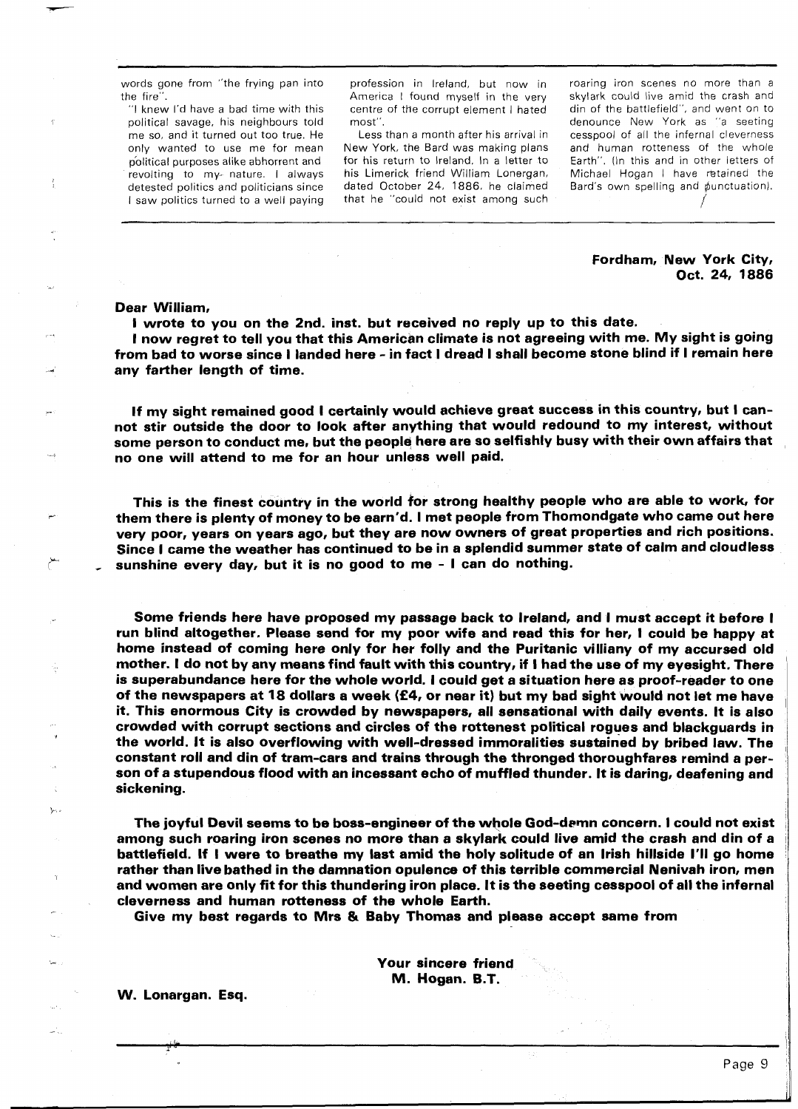words gone from "the frying pan into the fire".

"I knew I'd have a bad time with this political savage, his neighbours told me so, and it turned out too true. He only wanted to use me for mean political purposes alike abhorrent and revolting to my- nature. I always detested politics and politicians since I saw politics turned to a well paying

profession in Ireland, but now in America I found myself in the very centre of the corrupt element I hated most".

Less than a month after his arrival in New York, the Bard was making plans for his return to Ireland. In a letter to his Limerick friend William Lonergan, dated October 24, 1886, he claimed that he "could not exist among such roaring iron scenes no more than a skylark could live amid the crash and din of the battlefield", and went on to denounce New York as "a seeting cesspool of all the infernal cleverness and human rotteness of the whole Earth". (In this and in other letters of Michael Hogan I have retained the Bard's own spelling and punctuation).<br>  $\overline{y}$ 

## Fordham, New York City, Oct. 24, 1886

r

## Dear William,

I wrote to you on the 2nd. inst. but received no reply up to this date. I now regret to tell you that this American climate is not agreeing with me. My sight is going from bad to worse since I landed here - in fact 1 dread I shall become stone blind if I remain here any farther length of time.

If my sight remained good I certainly would achieve great success in this country, but I cannot stir outside the door to look after anything that would redound to my interest, without some person to conduct me, but the people here are so selfishly busy with their own affairs that no one will attend to me for an hour unless well paid.

This is the finest country in the world for strong healthy people who are able to work, for them there is plenty of money to be earn'd. I met people from Thomondgate who came out here very poor, years on years ago, but they are now owners of great properties and rich positions. Since I came the weather has continued to be in a splendid summer state of calm and cloudless sunshine every day, but it is no good to me - I can do nothing.

Some friends here have proposed my passage back to Ireland, and I must accept it before I run blind altogether. Please send for my poor wife and read this for her, I could be happy at home instead of coming here only for her folly and the Puritanic villiany of my accursed old mother. I do not by any means find fault with this country, if I had the use of my eyesight. There is superabundance here for the whole world. I could get a situation here as proof-reader to one of the newspapers at 18 dollars a week **(f4,** or near it) but my bad sight would not let me have it. This enormous City is crowded by newspapers, all sensational with daily events. It is also crowded with corrupt sections and circles of the rottenest political rogues and blackguards in **<sup>S</sup>**the world. It is also overflowing with well-dressed immoralities sustained by bribed law. The constant roll and din of tram-cars and trains through the thronged thoroughfares remind a person of a stupendous flood with an incessant echo of muffled thunder. It is daring, deafening and sickening.

The joyful Devil seems to be boss-engineer of the whole God-demn concern. I could not exist among such roaring iron scenes no more than a skylark could live amid the crash and din of a battlefield. If I were to breathe my last amid the holy solitude of an Irish hillside I'll go home rather than live bathed in the damnation opulence of this terrible commercial Nenivah iron, men<br>1 and women are only fit for this thundering iron place. It is the seeting cesspool of all the infernal cleverness and human rotteness of the whole Earth.

Give my best regards to Mrs & Baby Thomas and please accept same from

Your sincere friend M. Hogan. B.T.

W. Lonargan. Esq.

**G** 

'r